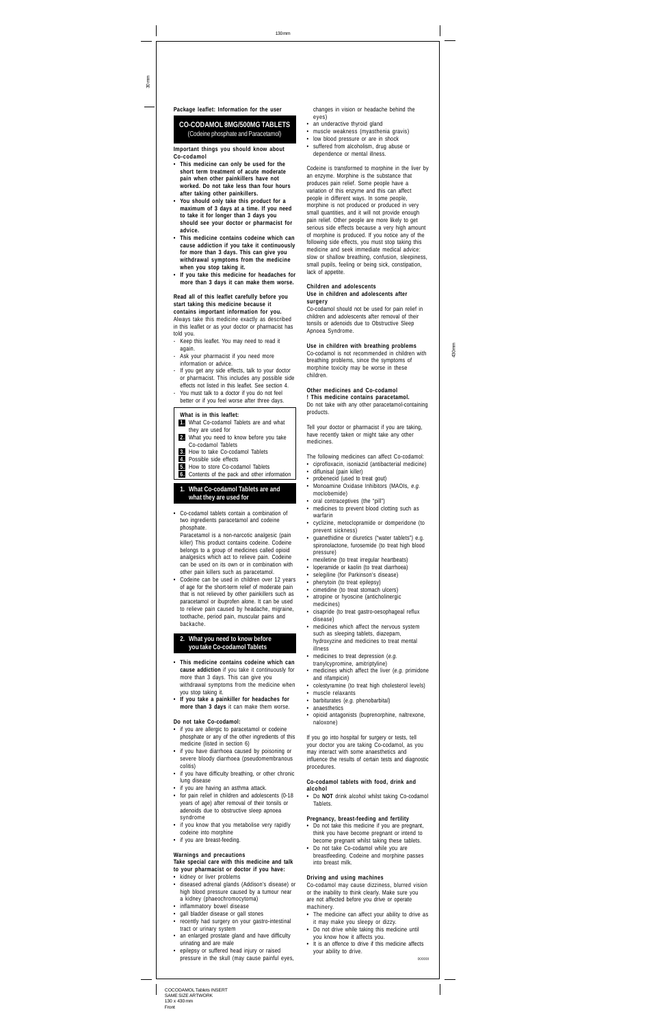COCODAMOL Tablets INSERT SAME SIZE ARTWORK 130 x 430 mm Front

30 mm

- 430 mm
- 
- 
- 

**Package leaflet: Information for the user**

# **CO-CODAMOL 8MG/500MG TABLETS** (Codeine phosphate and Paracetamol)

**Important things you should know about Co-codamol**

- **This medicine can only be used for the short term treatment of acute moderate pain when other painkillers have not worked. Do not take less than four hours after taking other painkillers.**
- **You should only take this product for a maximum of 3 days at a time. If you need to take it for longer than 3 days you should see your doctor or pharmacist for advice.**
- **This medicine contains codeine which can cause addiction if you take it continuously for more than 3 days. This can give you withdrawal symptoms from the medicine when you stop taking it.**
- **If you take this medicine for headaches for more than 3 days it can make them worse.**

**Read all of this leaflet carefully before you start taking this medicine because it contains important information for you.** Always take this medicine exactly as described in this leaflet or as your doctor or pharmacist has told you.

- Keep this leaflet. You may need to read it again.
- Ask your pharmacist if you need more information or advice.
- If you get any side effects, talk to your doctor or pharmacist. This includes any possible side effects not listed in this leaflet. See section 4.
- You must talk to a doctor if you do not feel better or if you feel worse after three days.

- ou stop taking it.
- **If you take a painkiller for headaches for more than 3 days** it can make them worse.

#### **What is in this leaflet:**

- **1.** What Co-codamol Tablets are and what they are used for
- **2.** What you need to know before you take Co-codamol Tablets
- **3.** How to take Co-codamol Tablets
- **4.** Possible side effects
- **5.** How to store Co-codamol Tablets<br>**6.** Contents of the pack and other in **6.** Contents of the pack and other information

# **1. What Co-codamol Tablets are and what they are used for**

**•** Co-codamol tablets contain a combination of two ingredients paracetamol and codeine phosphate.

Paracetamol is a non-narcotic analgesic (pain killer) This product contains codeine. Codeine belongs to a group of medicines called opioid analgesics which act to relieve pain. Codeine can be used on its own or in combination with other pain killers such as paracetamol.

**•** Codeine can be used in children over 12 years of age for the short-term relief of moderate pain that is not relieved by other painkillers such as paracetamol or ibuprofen alone. It can be used to relieve pain caused by headache, migraine, toothache, period pain, muscular pains and backache.

# **2. What you need to know before you take Co-codamol Tablets**

**• This medicine contains codeine which can cause addiction** if you take it continuously for more than 3 days. This can give you withdrawal symptoms from the medicine when

# **Do not take Co-codamol:**

- **•** if you are allergic to paracetamol or codeine phosphate or any of the other ingredients of this medicine (listed in section 6)
- **•** if you have diarrhoea caused by poisoning or severe bloody diarrhoea (pseudomembranous colitis)
- if you have difficulty breathing, or other chronic lung disease
- if you are having an asthma attack.
- **•** for pain relief in children and adolescents (0-18 years of age) after removal of their tonsils or adenoids due to obstructive sleep apnoea syndrome
- **•** if you know that you metabolise very rapidly codeine into morphine
- **•** if you are breast-feeding.

# **Warnings and precautions**

If you go into hospital for surgery or tests, tell your doctor you are taking Co-codamol, as you may interact with some anaesthetics and influence the results of certain tests and diagnostic procedures.

#### **Take special care with this medicine and talk to your pharmacist or doctor if you have:**

- **•** kidney or liver problems
- diseased adrenal glands (Addison's disease) or high blood pressure caused by a tumour near a kidney (phaeochromocytoma)
- inflammatory bowel disease
- gall bladder disease or gall stones
- recently had surgery on your gastro-intestinal tract or urinary system
- an enlarged prostate gland and have difficulty urinating and are male
- epilepsy or suffered head injury or raised pressure in the skull (may cause painful eyes,

changes in vision or headache behind the

- eyes)
- an underactive thyroid gland • muscle weakness (myasthenia gravis)
- low blood pressure or are in shock
- suffered from alcoholism, drug abuse or dependence or mental illness.

Codeine is transformed to morphine in the liver by an enzyme. Morphine is the substance that produces pain relief. Some people have a variation of this enzyme and this can affect people in different ways. In some people, morphine is not produced or produced in very small quantities, and it will not provide enough pain relief. Other people are more likely to get serious side effects because a very high amount of morphine is produced. If you notice any of the following side effects, you must stop taking this medicine and seek immediate medical advice: slow or shallow breathing, confusion, sleepiness, small pupils, feeling or being sick, constipation, lack of appetite.

#### **Children and adolescents Use in children and adolescents after surgery**

Co-codamol should not be used for pain relief in children and adolescents after removal of their tonsils or adenoids due to Obstructive Sleep Apnoea Syndrome.

**Use in children with breathing problems** Co-codamol is not recommended in children with

breathing problems, since the symptoms of morphine toxicity may be worse in these children.

# **Other medicines and Co-codamol**

**! This medicine contains paracetamol.** Do not take with any other paracetamol-containing products.

Tell your doctor or pharmacist if you are taking, have recently taken or might take any other medicines.

The following medicines can affect Co-codamol:

- ciprofloxacin, isoniazid (antibacterial medicine)
- diflunisal (pain killer)
- probenecid (used to treat gout)
- Monoamine Oxidase Inhibitors (MAOIs, *e.g.* moclobemide)
- oral contraceptives (the "pill")
- medicines to prevent blood clotting such as warfarin
- cyclizine, metoclopramide or domperidone (to prevent sickness)
- guanethidine or diuretics ("water tablets") e.g. spironolactone, furosemide (to treat high blood pressure)
- mexiletine (to treat irregular heartbeats)
- loperamide or kaolin (to treat diarrhoea)
- selegiline (for Parkinson's disease)
- phenytoin (to treat epilepsy)
- cimetidine (to treat stomach ulcers)
- atropine or hyoscine (anticholinergic medicines)
- cisapride (to treat gastro-oesophageal reflux disease)
- medicines which affect the nervous system such as sleeping tablets, diazepam, hydroxyzine and medicines to treat mental illness
- medicines to treat depression (*e.g.* tranylcypromine, amitriptyline)
- medicines which affect the liver (*e.g.* primidone and rifampicin)
- colestyramine (to treat high cholesterol levels)
- muscle relaxants
- barbiturates (*e.g.* phenobarbital)
- anaesthetics
- opioid antagonists (buprenorphine, naltrexone, naloxone)

## **Co-codamol tablets with food, drink and alcohol**

**•** Do **NOT** drink alcohol whilst taking Co-codamol Tablets.

# **Pregnancy, breast-feeding and fertility**

- **•** Do not take this medicine if you are pregnant, think you have become pregnant or intend to become pregnant whilst taking these tablets.
- **•** Do not take Co-codamol while you are breastfeeding. Codeine and morphine passes into breast milk.

# **Driving and using machines**

Co-codamol may cause dizziness, blurred vision or the inability to think clearly. Make sure you are not affected before you drive or operate machinery.

- **•** The medicine can affect your ability to drive as it may make you sleepy or dizzy.
- **•** Do not drive while taking this medicine until you know how it affects you.
- **•** It is an offence to drive if this medicine affects your ability to drive.

IXXXXX